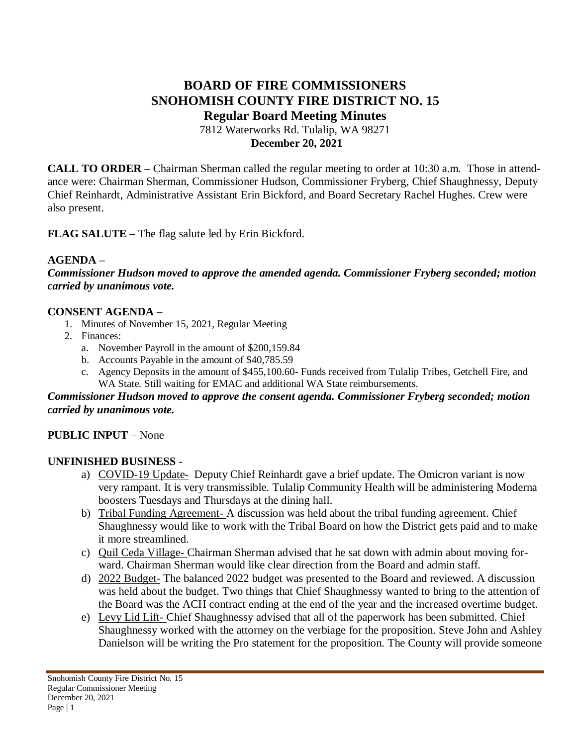# **BOARD OF FIRE COMMISSIONERS SNOHOMISH COUNTY FIRE DISTRICT NO. 15 Regular Board Meeting Minutes**

7812 Waterworks Rd. Tulalip, WA 98271 **December 20, 2021**

**CALL TO ORDER –** Chairman Sherman called the regular meeting to order at 10:30 a.m. Those in attendance were: Chairman Sherman, Commissioner Hudson, Commissioner Fryberg, Chief Shaughnessy, Deputy Chief Reinhardt, Administrative Assistant Erin Bickford, and Board Secretary Rachel Hughes. Crew were also present.

**FLAG SALUTE –** The flag salute led by Erin Bickford.

### **AGENDA –**

*Commissioner Hudson moved to approve the amended agenda. Commissioner Fryberg seconded; motion carried by unanimous vote.*

### **CONSENT AGENDA –**

- 1. Minutes of November 15, 2021, Regular Meeting
- 2. Finances:
	- a. November Payroll in the amount of \$200,159.84
	- b. Accounts Payable in the amount of \$40,785.59
	- c. Agency Deposits in the amount of \$455,100.60- Funds received from Tulalip Tribes, Getchell Fire, and WA State. Still waiting for EMAC and additional WA State reimbursements.

#### *Commissioner Hudson moved to approve the consent agenda. Commissioner Fryberg seconded; motion carried by unanimous vote.*

## **PUBLIC INPUT** – None

### **UNFINISHED BUSINESS** -

- a) COVID-19 Update- Deputy Chief Reinhardt gave a brief update. The Omicron variant is now very rampant. It is very transmissible. Tulalip Community Health will be administering Moderna boosters Tuesdays and Thursdays at the dining hall.
- b) Tribal Funding Agreement- A discussion was held about the tribal funding agreement. Chief Shaughnessy would like to work with the Tribal Board on how the District gets paid and to make it more streamlined.
- c) Quil Ceda Village- Chairman Sherman advised that he sat down with admin about moving forward. Chairman Sherman would like clear direction from the Board and admin staff.
- d) 2022 Budget- The balanced 2022 budget was presented to the Board and reviewed. A discussion was held about the budget. Two things that Chief Shaughnessy wanted to bring to the attention of the Board was the ACH contract ending at the end of the year and the increased overtime budget.
- e) Levy Lid Lift- Chief Shaughnessy advised that all of the paperwork has been submitted. Chief Shaughnessy worked with the attorney on the verbiage for the proposition. Steve John and Ashley Danielson will be writing the Pro statement for the proposition. The County will provide someone